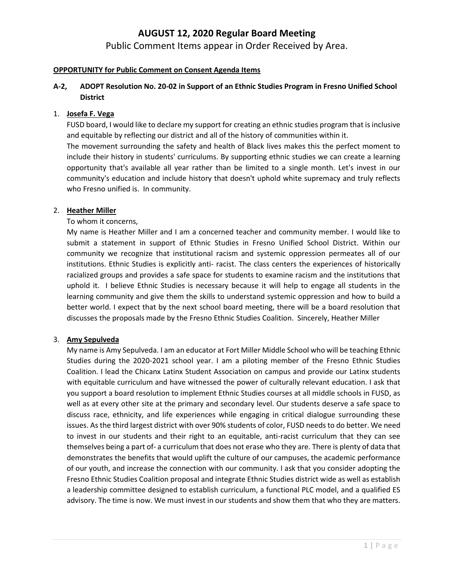Public Comment Items appear in Order Received by Area.

#### **OPPORTUNITY for Public Comment on Consent Agenda Items**

# **A-2, ADOPT Resolution No. 20-02 in Support of an Ethnic Studies Program in Fresno Unified School District**

#### 1. **Josefa F. Vega**

FUSD board, I would like to declare my support for creating an ethnic studies program that is inclusive and equitable by reflecting our district and all of the history of communities within it.

The movement surrounding the safety and health of Black lives makes this the perfect moment to include their history in students' curriculums. By supporting ethnic studies we can create a learning opportunity that's available all year rather than be limited to a single month. Let's invest in our community's education and include history that doesn't uphold white supremacy and truly reflects who Fresno unified is. In community.

#### 2. **Heather Miller**

#### To whom it concerns,

My name is Heather Miller and I am a concerned teacher and community member. I would like to submit a statement in support of Ethnic Studies in Fresno Unified School District. Within our community we recognize that institutional racism and systemic oppression permeates all of our institutions. Ethnic Studies is explicitly anti- racist. The class centers the experiences of historically racialized groups and provides a safe space for students to examine racism and the institutions that uphold it. I believe Ethnic Studies is necessary because it will help to engage all students in the learning community and give them the skills to understand systemic oppression and how to build a better world. I expect that by the next school board meeting, there will be a board resolution that discusses the proposals made by the Fresno Ethnic Studies Coalition. Sincerely, Heather Miller

#### 3. **Amy Sepulveda**

My name is Amy Sepulveda. I am an educator at Fort Miller Middle School who will be teaching Ethnic Studies during the 2020-2021 school year. I am a piloting member of the Fresno Ethnic Studies Coalition. I lead the Chicanx Latinx Student Association on campus and provide our Latinx students with equitable curriculum and have witnessed the power of culturally relevant education. I ask that you support a board resolution to implement Ethnic Studies courses at all middle schools in FUSD, as well as at every other site at the primary and secondary level. Our students deserve a safe space to discuss race, ethnicity, and life experiences while engaging in critical dialogue surrounding these issues. As the third largest district with over 90% students of color, FUSD needs to do better. We need to invest in our students and their right to an equitable, anti-racist curriculum that they can see themselves being a part of- a curriculum that does not erase who they are. There is plenty of data that demonstrates the benefits that would uplift the culture of our campuses, the academic performance of our youth, and increase the connection with our community. I ask that you consider adopting the Fresno Ethnic Studies Coalition proposal and integrate Ethnic Studies district wide as well as establish a leadership committee designed to establish curriculum, a functional PLC model, and a qualified ES advisory. The time is now. We must invest in our students and show them that who they are matters.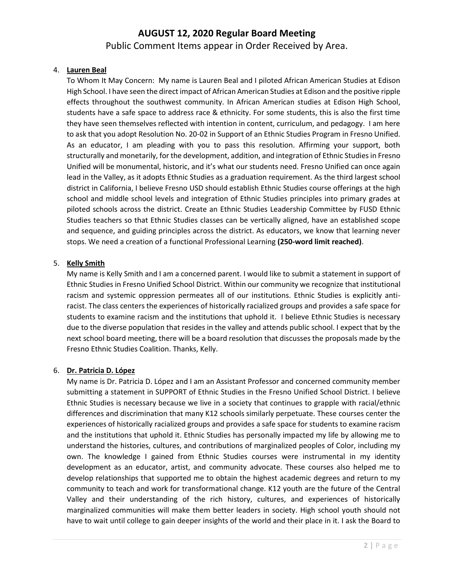Public Comment Items appear in Order Received by Area.

### 4. **Lauren Beal**

To Whom It May Concern: My name is Lauren Beal and I piloted African American Studies at Edison High School. I have seen the direct impact of African American Studies at Edison and the positive ripple effects throughout the southwest community. In African American studies at Edison High School, students have a safe space to address race & ethnicity. For some students, this is also the first time they have seen themselves reflected with intention in content, curriculum, and pedagogy. I am here to ask that you adopt Resolution No. 20-02 in Support of an Ethnic Studies Program in Fresno Unified. As an educator, I am pleading with you to pass this resolution. Affirming your support, both structurally and monetarily, for the development, addition, and integration of Ethnic Studies in Fresno Unified will be monumental, historic, and it's what our students need. Fresno Unified can once again lead in the Valley, as it adopts Ethnic Studies as a graduation requirement. As the third largest school district in California, I believe Fresno USD should establish Ethnic Studies course offerings at the high school and middle school levels and integration of Ethnic Studies principles into primary grades at piloted schools across the district. Create an Ethnic Studies Leadership Committee by FUSD Ethnic Studies teachers so that Ethnic Studies classes can be vertically aligned, have an established scope and sequence, and guiding principles across the district. As educators, we know that learning never stops. We need a creation of a functional Professional Learning **(250-word limit reached)**.

### 5. **Kelly Smith**

My name is Kelly Smith and I am a concerned parent. I would like to submit a statement in support of Ethnic Studies in Fresno Unified School District. Within our community we recognize that institutional racism and systemic oppression permeates all of our institutions. Ethnic Studies is explicitly antiracist. The class centers the experiences of historically racialized groups and provides a safe space for students to examine racism and the institutions that uphold it. I believe Ethnic Studies is necessary due to the diverse population that resides in the valley and attends public school. I expect that by the next school board meeting, there will be a board resolution that discusses the proposals made by the Fresno Ethnic Studies Coalition. Thanks, Kelly.

# 6. **Dr. Patricia D. López**

My name is Dr. Patricia D. López and I am an Assistant Professor and concerned community member submitting a statement in SUPPORT of Ethnic Studies in the Fresno Unified School District. I believe Ethnic Studies is necessary because we live in a society that continues to grapple with racial/ethnic differences and discrimination that many K12 schools similarly perpetuate. These courses center the experiences of historically racialized groups and provides a safe space for students to examine racism and the institutions that uphold it. Ethnic Studies has personally impacted my life by allowing me to understand the histories, cultures, and contributions of marginalized peoples of Color, including my own. The knowledge I gained from Ethnic Studies courses were instrumental in my identity development as an educator, artist, and community advocate. These courses also helped me to develop relationships that supported me to obtain the highest academic degrees and return to my community to teach and work for transformational change. K12 youth are the future of the Central Valley and their understanding of the rich history, cultures, and experiences of historically marginalized communities will make them better leaders in society. High school youth should not have to wait until college to gain deeper insights of the world and their place in it. I ask the Board to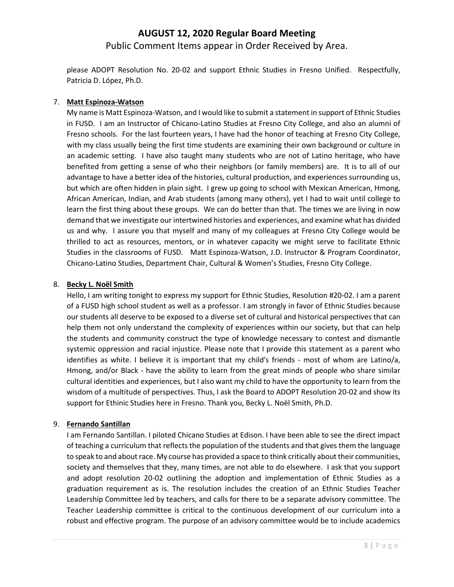# **AUGUST 12, 2020 Regular Board Meeting** Public Comment Items appear in Order Received by Area.

please ADOPT Resolution No. 20-02 and support Ethnic Studies in Fresno Unified. Respectfully, Patricia D. López, Ph.D.

### 7. **Matt Espinoza-Watson**

My name is Matt Espinoza-Watson, and I would like to submit a statement in support of Ethnic Studies in FUSD. I am an Instructor of Chicano-Latino Studies at Fresno City College, and also an alumni of Fresno schools. For the last fourteen years, I have had the honor of teaching at Fresno City College, with my class usually being the first time students are examining their own background or culture in an academic setting. I have also taught many students who are not of Latino heritage, who have benefited from getting a sense of who their neighbors (or family members) are. It is to all of our advantage to have a better idea of the histories, cultural production, and experiences surrounding us, but which are often hidden in plain sight. I grew up going to school with Mexican American, Hmong, African American, Indian, and Arab students (among many others), yet I had to wait until college to learn the first thing about these groups. We can do better than that. The times we are living in now demand that we investigate our intertwined histories and experiences, and examine what has divided us and why. I assure you that myself and many of my colleagues at Fresno City College would be thrilled to act as resources, mentors, or in whatever capacity we might serve to facilitate Ethnic Studies in the classrooms of FUSD. Matt Espinoza-Watson, J.D. Instructor & Program Coordinator, Chicano-Latino Studies, Department Chair, Cultural & Women's Studies, Fresno City College.

#### 8. **Becky L. Noël Smith**

Hello, I am writing tonight to express my support for Ethnic Studies, Resolution #20-02. I am a parent of a FUSD high school student as well as a professor. I am strongly in favor of Ethnic Studies because our students all deserve to be exposed to a diverse set of cultural and historical perspectives that can help them not only understand the complexity of experiences within our society, but that can help the students and community construct the type of knowledge necessary to contest and dismantle systemic oppression and racial injustice. Please note that I provide this statement as a parent who identifies as white. I believe it is important that my child's friends - most of whom are Latino/a, Hmong, and/or Black - have the ability to learn from the great minds of people who share similar cultural identities and experiences, but I also want my child to have the opportunity to learn from the wisdom of a multitude of perspectives. Thus, I ask the Board to ADOPT Resolution 20-02 and show its support for Ethinic Studies here in Fresno. Thank you, Becky L. Noël Smith, Ph.D.

#### 9. **Fernando Santillan**

I am Fernando Santillan. I piloted Chicano Studies at Edison. I have been able to see the direct impact of teaching a curriculum that reflects the population of the students and that gives them the language to speak to and about race. My course has provided a space to think critically about their communities, society and themselves that they, many times, are not able to do elsewhere. I ask that you support and adopt resolution 20-02 outlining the adoption and implementation of Ethnic Studies as a graduation requirement as is. The resolution includes the creation of an Ethnic Studies Teacher Leadership Committee led by teachers, and calls for there to be a separate advisory committee. The Teacher Leadership committee is critical to the continuous development of our curriculum into a robust and effective program. The purpose of an advisory committee would be to include academics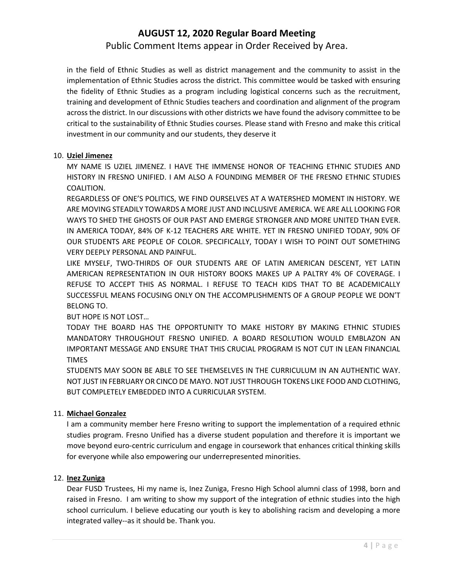Public Comment Items appear in Order Received by Area.

in the field of Ethnic Studies as well as district management and the community to assist in the implementation of Ethnic Studies across the district. This committee would be tasked with ensuring the fidelity of Ethnic Studies as a program including logistical concerns such as the recruitment, training and development of Ethnic Studies teachers and coordination and alignment of the program across the district. In our discussions with other districts we have found the advisory committee to be critical to the sustainability of Ethnic Studies courses. Please stand with Fresno and make this critical investment in our community and our students, they deserve it

### 10. **Uziel Jimenez**

MY NAME IS UZIEL JIMENEZ. I HAVE THE IMMENSE HONOR OF TEACHING ETHNIC STUDIES AND HISTORY IN FRESNO UNIFIED. I AM ALSO A FOUNDING MEMBER OF THE FRESNO ETHNIC STUDIES COALITION.

REGARDLESS OF ONE'S POLITICS, WE FIND OURSELVES AT A WATERSHED MOMENT IN HISTORY. WE ARE MOVING STEADILY TOWARDS A MORE JUST AND INCLUSIVE AMERICA. WE ARE ALL LOOKING FOR WAYS TO SHED THE GHOSTS OF OUR PAST AND EMERGE STRONGER AND MORE UNITED THAN EVER. IN AMERICA TODAY, 84% OF K-12 TEACHERS ARE WHITE. YET IN FRESNO UNIFIED TODAY, 90% OF OUR STUDENTS ARE PEOPLE OF COLOR. SPECIFICALLY, TODAY I WISH TO POINT OUT SOMETHING VERY DEEPLY PERSONAL AND PAINFUL.

LIKE MYSELF, TWO-THIRDS OF OUR STUDENTS ARE OF LATIN AMERICAN DESCENT, YET LATIN AMERICAN REPRESENTATION IN OUR HISTORY BOOKS MAKES UP A PALTRY 4% OF COVERAGE. I REFUSE TO ACCEPT THIS AS NORMAL. I REFUSE TO TEACH KIDS THAT TO BE ACADEMICALLY SUCCESSFUL MEANS FOCUSING ONLY ON THE ACCOMPLISHMENTS OF A GROUP PEOPLE WE DON'T BELONG TO.

# BUT HOPE IS NOT LOST…

TODAY THE BOARD HAS THE OPPORTUNITY TO MAKE HISTORY BY MAKING ETHNIC STUDIES MANDATORY THROUGHOUT FRESNO UNIFIED. A BOARD RESOLUTION WOULD EMBLAZON AN IMPORTANT MESSAGE AND ENSURE THAT THIS CRUCIAL PROGRAM IS NOT CUT IN LEAN FINANCIAL TIMES

STUDENTS MAY SOON BE ABLE TO SEE THEMSELVES IN THE CURRICULUM IN AN AUTHENTIC WAY. NOT JUST IN FEBRUARY OR CINCO DE MAYO. NOT JUST THROUGH TOKENS LIKE FOOD AND CLOTHING, BUT COMPLETELY EMBEDDED INTO A CURRICULAR SYSTEM.

# 11. **Michael Gonzalez**

I am a community member here Fresno writing to support the implementation of a required ethnic studies program. Fresno Unified has a diverse student population and therefore it is important we move beyond euro-centric curriculum and engage in coursework that enhances critical thinking skills for everyone while also empowering our underrepresented minorities.

# 12. **Inez Zuniga**

Dear FUSD Trustees, Hi my name is, Inez Zuniga, Fresno High School alumni class of 1998, born and raised in Fresno. I am writing to show my support of the integration of ethnic studies into the high school curriculum. I believe educating our youth is key to abolishing racism and developing a more integrated valley--as it should be. Thank you.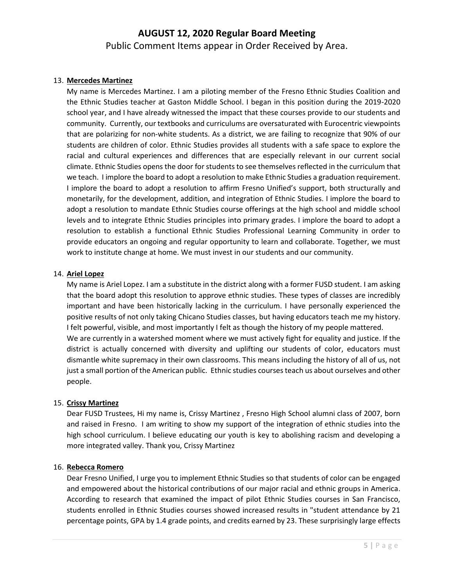# **AUGUST 12, 2020 Regular Board Meeting** Public Comment Items appear in Order Received by Area.

#### 13. **Mercedes Martinez**

My name is Mercedes Martinez. I am a piloting member of the Fresno Ethnic Studies Coalition and the Ethnic Studies teacher at Gaston Middle School. I began in this position during the 2019-2020 school year, and I have already witnessed the impact that these courses provide to our students and community. Currently, our textbooks and curriculums are oversaturated with Eurocentric viewpoints that are polarizing for non-white students. As a district, we are failing to recognize that 90% of our students are children of color. Ethnic Studies provides all students with a safe space to explore the racial and cultural experiences and differences that are especially relevant in our current social climate. Ethnic Studies opens the door for students to see themselves reflected in the curriculum that we teach. I implore the board to adopt a resolution to make Ethnic Studies a graduation requirement. I implore the board to adopt a resolution to affirm Fresno Unified's support, both structurally and monetarily, for the development, addition, and integration of Ethnic Studies. I implore the board to adopt a resolution to mandate Ethnic Studies course offerings at the high school and middle school levels and to integrate Ethnic Studies principles into primary grades. I implore the board to adopt a resolution to establish a functional Ethnic Studies Professional Learning Community in order to provide educators an ongoing and regular opportunity to learn and collaborate. Together, we must work to institute change at home. We must invest in our students and our community.

#### 14. **Ariel Lopez**

My name is Ariel Lopez. I am a substitute in the district along with a former FUSD student. I am asking that the board adopt this resolution to approve ethnic studies. These types of classes are incredibly important and have been historically lacking in the curriculum. I have personally experienced the positive results of not only taking Chicano Studies classes, but having educators teach me my history. I felt powerful, visible, and most importantly I felt as though the history of my people mattered. We are currently in a watershed moment where we must actively fight for equality and justice. If the district is actually concerned with diversity and uplifting our students of color, educators must dismantle white supremacy in their own classrooms. This means including the history of all of us, not just a small portion of the American public. Ethnic studies courses teach us about ourselves and other people.

#### 15. **Crissy Martinez**

Dear FUSD Trustees, Hi my name is, Crissy Martinez , Fresno High School alumni class of 2007, born and raised in Fresno. I am writing to show my support of the integration of ethnic studies into the high school curriculum. I believe educating our youth is key to abolishing racism and developing a more integrated valley. Thank you, Crissy Martinez

#### 16. **Rebecca Romero**

Dear Fresno Unified, I urge you to implement Ethnic Studies so that students of color can be engaged and empowered about the historical contributions of our major racial and ethnic groups in America. According to research that examined the impact of pilot Ethnic Studies courses in San Francisco, students enrolled in Ethnic Studies courses showed increased results in "student attendance by 21 percentage points, GPA by 1.4 grade points, and credits earned by 23. These surprisingly large effects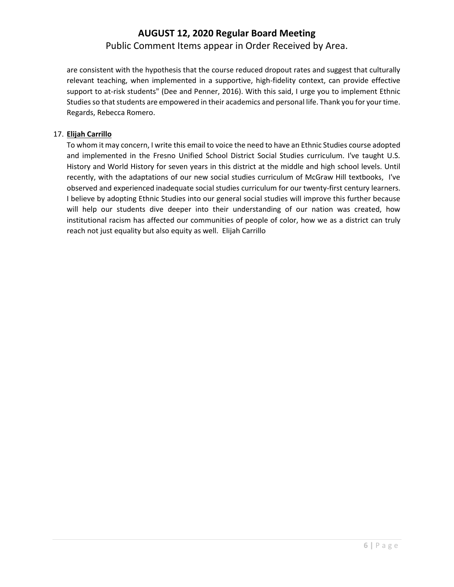# **AUGUST 12, 2020 Regular Board Meeting** Public Comment Items appear in Order Received by Area.

are consistent with the hypothesis that the course reduced dropout rates and suggest that culturally relevant teaching, when implemented in a supportive, high-fidelity context, can provide effective support to at-risk students" (Dee and Penner, 2016). With this said, I urge you to implement Ethnic Studies so that students are empowered in their academics and personal life. Thank you for your time. Regards, Rebecca Romero.

### 17. **Elijah Carrillo**

To whom it may concern, I write this email to voice the need to have an Ethnic Studies course adopted and implemented in the Fresno Unified School District Social Studies curriculum. I've taught U.S. History and World History for seven years in this district at the middle and high school levels. Until recently, with the adaptations of our new social studies curriculum of McGraw Hill textbooks, I've observed and experienced inadequate social studies curriculum for our twenty-first century learners. I believe by adopting Ethnic Studies into our general social studies will improve this further because will help our students dive deeper into their understanding of our nation was created, how institutional racism has affected our communities of people of color, how we as a district can truly reach not just equality but also equity as well. Elijah Carrillo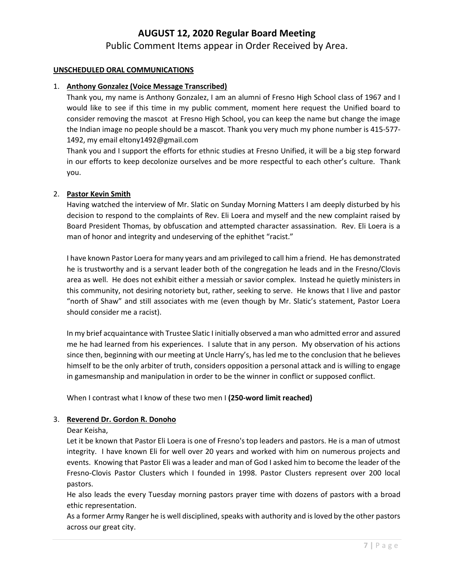Public Comment Items appear in Order Received by Area.

#### **UNSCHEDULED ORAL COMMUNICATIONS**

#### 1. **Anthony Gonzalez (Voice Message Transcribed)**

Thank you, my name is Anthony Gonzalez, I am an alumni of Fresno High School class of 1967 and I would like to see if this time in my public comment, moment here request the Unified board to consider removing the mascot at Fresno High School, you can keep the name but change the image the Indian image no people should be a mascot. Thank you very much my phone number is 415-577- 1492, my email eltony1492@gmail.com

Thank you and I support the efforts for ethnic studies at Fresno Unified, it will be a big step forward in our efforts to keep decolonize ourselves and be more respectful to each other's culture. Thank you.

#### 2. **Pastor Kevin Smith**

Having watched the interview of Mr. Slatic on Sunday Morning Matters I am deeply disturbed by his decision to respond to the complaints of Rev. Eli Loera and myself and the new complaint raised by Board President Thomas, by obfuscation and attempted character assassination. Rev. Eli Loera is a man of honor and integrity and undeserving of the ephithet "racist."

I have known Pastor Loera for many years and am privileged to call him a friend. He has demonstrated he is trustworthy and is a servant leader both of the congregation he leads and in the Fresno/Clovis area as well. He does not exhibit either a messiah or savior complex. Instead he quietly ministers in this community, not desiring notoriety but, rather, seeking to serve. He knows that I live and pastor "north of Shaw" and still associates with me (even though by Mr. Slatic's statement, Pastor Loera should consider me a racist).

In my brief acquaintance with Trustee Slatic I initially observed a man who admitted error and assured me he had learned from his experiences. I salute that in any person. My observation of his actions since then, beginning with our meeting at Uncle Harry's, has led me to the conclusion that he believes himself to be the only arbiter of truth, considers opposition a personal attack and is willing to engage in gamesmanship and manipulation in order to be the winner in conflict or supposed conflict.

When I contrast what I know of these two men I **(250-word limit reached)**

#### 3. **Reverend Dr. Gordon R. Donoho**

Dear Keisha,

Let it be known that Pastor Eli Loera is one of Fresno's top leaders and pastors. He is a man of utmost integrity. I have known Eli for well over 20 years and worked with him on numerous projects and events. Knowing that Pastor Eli was a leader and man of God I asked him to become the leader of the Fresno-Clovis Pastor Clusters which I founded in 1998. Pastor Clusters represent over 200 local pastors.

He also leads the every Tuesday morning pastors prayer time with dozens of pastors with a broad ethic representation.

As a former Army Ranger he is well disciplined, speaks with authority and is loved by the other pastors across our great city.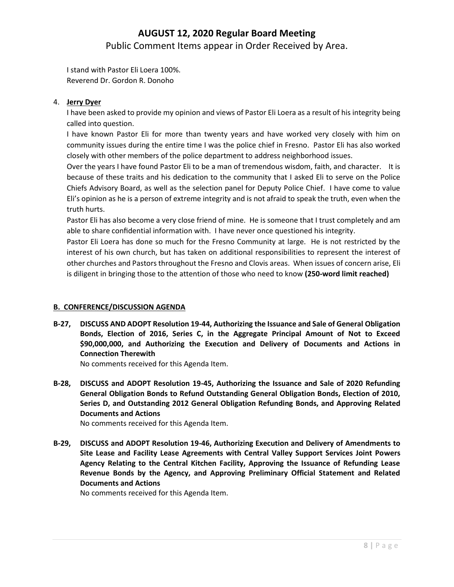Public Comment Items appear in Order Received by Area.

I stand with Pastor Eli Loera 100%. Reverend Dr. Gordon R. Donoho

### 4. **Jerry Dyer**

I have been asked to provide my opinion and views of Pastor Eli Loera as a result of his integrity being called into question.

I have known Pastor Eli for more than twenty years and have worked very closely with him on community issues during the entire time I was the police chief in Fresno. Pastor Eli has also worked closely with other members of the police department to address neighborhood issues.

Over the years I have found Pastor Eli to be a man of tremendous wisdom, faith, and character. It is because of these traits and his dedication to the community that I asked Eli to serve on the Police Chiefs Advisory Board, as well as the selection panel for Deputy Police Chief. I have come to value Eli's opinion as he is a person of extreme integrity and is not afraid to speak the truth, even when the truth hurts.

Pastor Eli has also become a very close friend of mine. He is someone that I trust completely and am able to share confidential information with. I have never once questioned his integrity.

Pastor Eli Loera has done so much for the Fresno Community at large. He is not restricted by the interest of his own church, but has taken on additional responsibilities to represent the interest of other churches and Pastors throughout the Fresno and Clovis areas. When issues of concern arise, Eli is diligent in bringing those to the attention of those who need to know **(250-word limit reached)**

# **B. CONFERENCE/DISCUSSION AGENDA**

**B-27, DISCUSS AND ADOPT Resolution 19-44, Authorizing the Issuance and Sale of General Obligation Bonds, Election of 2016, Series C, in the Aggregate Principal Amount of Not to Exceed \$90,000,000, and Authorizing the Execution and Delivery of Documents and Actions in Connection Therewith**

No comments received for this Agenda Item.

**B-28, DISCUSS and ADOPT Resolution 19-45, Authorizing the Issuance and Sale of 2020 Refunding General Obligation Bonds to Refund Outstanding General Obligation Bonds, Election of 2010, Series D, and Outstanding 2012 General Obligation Refunding Bonds, and Approving Related Documents and Actions**

No comments received for this Agenda Item.

**B-29, DISCUSS and ADOPT Resolution 19-46, Authorizing Execution and Delivery of Amendments to Site Lease and Facility Lease Agreements with Central Valley Support Services Joint Powers Agency Relating to the Central Kitchen Facility, Approving the Issuance of Refunding Lease Revenue Bonds by the Agency, and Approving Preliminary Official Statement and Related Documents and Actions**

No comments received for this Agenda Item.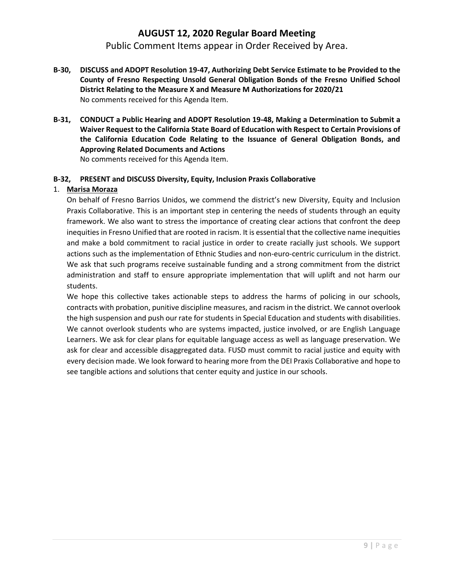Public Comment Items appear in Order Received by Area.

- **B-30, DISCUSS and ADOPT Resolution 19-47, Authorizing Debt Service Estimate to be Provided to the County of Fresno Respecting Unsold General Obligation Bonds of the Fresno Unified School District Relating to the Measure X and Measure M Authorizations for 2020/21** No comments received for this Agenda Item.
- **B-31, CONDUCT a Public Hearing and ADOPT Resolution 19-48, Making a Determination to Submit a Waiver Request to the California State Board of Education with Respect to Certain Provisions of the California Education Code Relating to the Issuance of General Obligation Bonds, and Approving Related Documents and Actions**

No comments received for this Agenda Item.

# **B-32, PRESENT and DISCUSS Diversity, Equity, Inclusion Praxis Collaborative**

### 1. **Marisa Moraza**

On behalf of Fresno Barrios Unidos, we commend the district's new Diversity, Equity and Inclusion Praxis Collaborative. This is an important step in centering the needs of students through an equity framework. We also want to stress the importance of creating clear actions that confront the deep inequities in Fresno Unified that are rooted in racism. It is essential that the collective name inequities and make a bold commitment to racial justice in order to create racially just schools. We support actions such as the implementation of Ethnic Studies and non-euro-centric curriculum in the district. We ask that such programs receive sustainable funding and a strong commitment from the district administration and staff to ensure appropriate implementation that will uplift and not harm our students.

We hope this collective takes actionable steps to address the harms of policing in our schools, contracts with probation, punitive discipline measures, and racism in the district. We cannot overlook the high suspension and push our rate for students in Special Education and students with disabilities. We cannot overlook students who are systems impacted, justice involved, or are English Language Learners. We ask for clear plans for equitable language access as well as language preservation. We ask for clear and accessible disaggregated data. FUSD must commit to racial justice and equity with every decision made. We look forward to hearing more from the DEI Praxis Collaborative and hope to see tangible actions and solutions that center equity and justice in our schools.